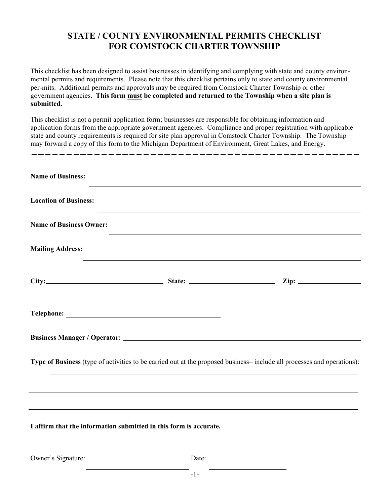## **STATE / COUNTY ENVIRONMENTAL PERMITS CHECKLIST FOR COMSTOCK CHARTER TOWNSHIP**

This checklist has been designed to assist businesses in identifying and complying with state and county environmental permits and requirements. Please note that this checklist pertains only to state and county environmental per-mits. Additional permits and approvals may be required from Comstock Charter Township or other government agencies. **This form must be completed and returned to the Township when a site plan is submitted.**

This checklist is not a permit application form; businesses are responsible for obtaining information and application forms from the appropriate government agencies. Compliance and proper registration with applicable state and county requirements is required for site plan approval in Comstock Charter Township. The Township may forward a copy of this form to the Michigan Department of Environment, Great Lakes, and Energy.

| <b>Name of Business:</b>                                          |                                                                                                                  |                                                                                                                         |
|-------------------------------------------------------------------|------------------------------------------------------------------------------------------------------------------|-------------------------------------------------------------------------------------------------------------------------|
| <b>Location of Business:</b>                                      | the control of the control of the control of the control of the control of the control of                        |                                                                                                                         |
| <b>Name of Business Owner:</b>                                    |                                                                                                                  |                                                                                                                         |
| <b>Mailing Address:</b>                                           | and the control of the control of the control of the control of the control of the control of the control of the |                                                                                                                         |
|                                                                   |                                                                                                                  |                                                                                                                         |
|                                                                   |                                                                                                                  |                                                                                                                         |
|                                                                   |                                                                                                                  |                                                                                                                         |
|                                                                   |                                                                                                                  | Type of Business (type of activities to be carried out at the proposed business– include all processes and operations): |
|                                                                   |                                                                                                                  |                                                                                                                         |
| I affirm that the information submitted in this form is accurate. |                                                                                                                  | ,我们也不会有什么。""我们的人,我们也不会有什么?""我们的人,我们也不会有什么?""我们的人,我们也不会有什么?""我们的人,我们也不会有什么?""我们的人                                        |

Owner's Signature: Date: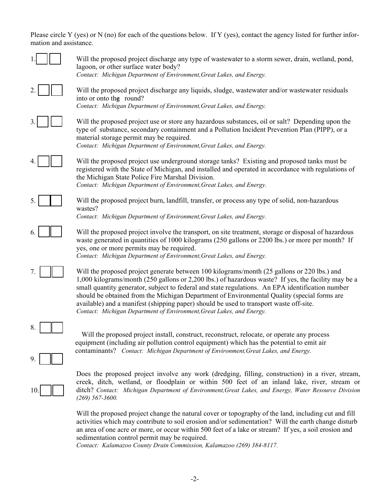Please circle Y (yes) or N (no) for each of the questions below. If Y (yes), contact the agency listed for further information and assistance.

|          | Will the proposed project discharge any type of wastewater to a storm sewer, drain, wetland, pond,<br>lagoon, or other surface water body?<br>Contact: Michigan Department of Environment, Great Lakes, and Energy.                                                                                                                                                                                                                                                                                                                                                      |
|----------|--------------------------------------------------------------------------------------------------------------------------------------------------------------------------------------------------------------------------------------------------------------------------------------------------------------------------------------------------------------------------------------------------------------------------------------------------------------------------------------------------------------------------------------------------------------------------|
|          | Will the proposed project discharge any liquids, sludge, was tewater and/or was tewater residuals<br>into or onto the round?<br>Contact: Michigan Department of Environment, Great Lakes, and Energy.                                                                                                                                                                                                                                                                                                                                                                    |
|          | Will the proposed project use or store any hazardous substances, oil or salt? Depending upon the<br>type of substance, secondary containment and a Pollution Incident Prevention Plan (PIPP), or a<br>material storage permit may be required.<br>Contact: Michigan Department of Environment, Great Lakes, and Energy.                                                                                                                                                                                                                                                  |
|          | Will the proposed project use underground storage tanks? Existing and proposed tanks must be<br>registered with the State of Michigan, and installed and operated in accordance with regulations of<br>the Michigan State Police Fire Marshal Division.<br>Contact: Michigan Department of Environment, Great Lakes, and Energy.                                                                                                                                                                                                                                         |
|          | Will the proposed project burn, landfill, transfer, or process any type of solid, non-hazardous<br>wastes?<br>Contact: Michigan Department of Environment, Great Lakes, and Energy.                                                                                                                                                                                                                                                                                                                                                                                      |
|          | Will the proposed project involve the transport, on site treatment, storage or disposal of hazardous<br>waste generated in quantities of 1000 kilograms (250 gallons or 2200 lbs.) or more per month? If<br>yes, one or more permits may be required.<br>Contact: Michigan Department of Environment, Great Lakes, and Energy.                                                                                                                                                                                                                                           |
|          | Will the proposed project generate between 100 kilograms/month (25 gallons or 220 lbs.) and<br>1,000 kilograms/month (250 gallons or 2,200 lbs.) of hazardous waste? If yes, the facility may be a<br>small quantity generator, subject to federal and state regulations. An EPA identification number<br>should be obtained from the Michigan Department of Environmental Quality (special forms are<br>available) and a manifest (shipping paper) should be used to transport waste off-site.<br>Contact: Michigan Department of Environment, Great Lakes, and Energy. |
| 8.<br>9. | Will the proposed project install, construct, reconstruct, relocate, or operate any process<br>equipment (including air pollution control equipment) which has the potential to emit air<br>contaminants? Contact: Michigan Department of Environment, Great Lakes, and Energy.                                                                                                                                                                                                                                                                                          |
|          | Does the proposed project involve any work (dredging, filling, construction) in a river, stream,<br>creek, ditch, wetland, or floodplain or within 500 feet of an inland lake, river, stream or<br>ditch? Contact: Michigan Department of Environment, Great Lakes, and Energy, Water Resource Division<br>$(269)$ 567-3600.                                                                                                                                                                                                                                             |
|          | Will the proposed project change the natural cover or topography of the land, including cut and fill<br>activities which may contribute to soil erosion and/or sedimentation? Will the earth change disturb<br>an area of one acre or more, or occur within 500 feet of a lake or stream? If yes, a soil erosion and<br>sedimentation control permit may be required.                                                                                                                                                                                                    |

*Contact: Kalamazoo County Drain Commission, Kalamazoo (269) 384-8117.*